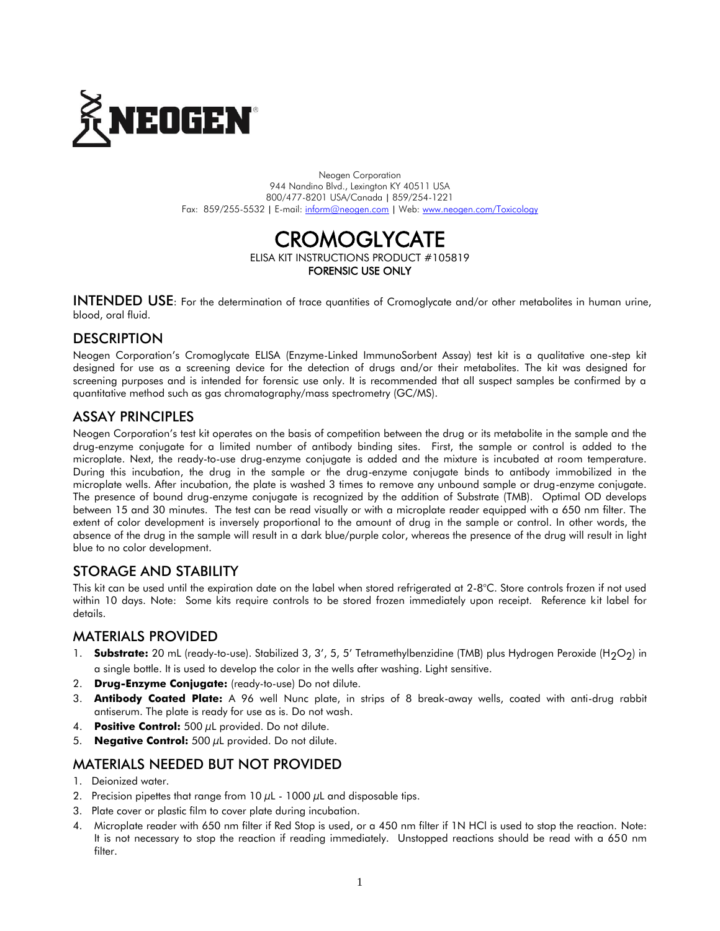

Neogen Corporation 944 Nandino Blvd., Lexington KY 40511 USA 800/477-8201 USA/Canada | 859/254-1221 Fax: 859/255-5532 | E-mail[: inform@neogen.com](mailto:inform@neogen.com) | Web[: www.neogen.com/Toxicology](http://www.neogen.com/Toxicology)

## CROMOGLYCATE ELISA KIT INSTRUCTIONS PRODUCT #105819 FORENSIC USE ONLY

INTENDED USE: For the determination of trace quantities of Cromoglycate and/or other metabolites in human urine, blood, oral fluid.

# **DESCRIPTION**

Neogen Corporation's Cromoglycate ELISA (Enzyme-Linked ImmunoSorbent Assay) test kit is a qualitative one-step kit designed for use as a screening device for the detection of drugs and/or their metabolites. The kit was designed for screening purposes and is intended for forensic use only. It is recommended that all suspect samples be confirmed by a quantitative method such as gas chromatography/mass spectrometry (GC/MS).

## ASSAY PRINCIPLES

Neogen Corporation's test kit operates on the basis of competition between the drug or its metabolite in the sample and the drug-enzyme conjugate for a limited number of antibody binding sites. First, the sample or control is added to the microplate. Next, the ready-to-use drug-enzyme conjugate is added and the mixture is incubated at room temperature. During this incubation, the drug in the sample or the drug-enzyme conjugate binds to antibody immobilized in the microplate wells. After incubation, the plate is washed 3 times to remove any unbound sample or drug-enzyme conjugate. The presence of bound drug-enzyme conjugate is recognized by the addition of Substrate (TMB). Optimal OD develops between 15 and 30 minutes. The test can be read visually or with a microplate reader equipped with a 650 nm filter. The extent of color development is inversely proportional to the amount of drug in the sample or control. In other words, the absence of the drug in the sample will result in a dark blue/purple color, whereas the presence of the drug will result in light blue to no color development.

# STORAGE AND STABILITY

This kit can be used until the expiration date on the label when stored refrigerated at 2-8°C. Store controls frozen if not used within 10 days. Note: Some kits require controls to be stored frozen immediately upon receipt. Reference kit label for details.

### MATERIALS PROVIDED

- 1. **Substrate:** 20 mL (ready-to-use). Stabilized 3, 3', 5, 5' Tetramethylbenzidine (TMB) plus Hydrogen Peroxide (H<sub>2</sub>O<sub>2</sub>) in a single bottle. It is used to develop the color in the wells after washing. Light sensitive.
- 2. **Drug-Enzyme Conjugate:** (ready-to-use) Do not dilute.
- 3. **Antibody Coated Plate:** A 96 well Nunc plate, in strips of 8 break-away wells, coated with anti-drug rabbit antiserum. The plate is ready for use as is. Do not wash.
- 4. **Positive Control:** 500 µL provided. Do not dilute.
- 5. **Negative Control:** 500 µL provided. Do not dilute.

## MATERIALS NEEDED BUT NOT PROVIDED

- 1. Deionized water.
- 2. Precision pipettes that range from  $10 \mu$ L  $1000 \mu$ L and disposable tips.
- 3. Plate cover or plastic film to cover plate during incubation.
- 4. Microplate reader with 650 nm filter if Red Stop is used, or a 450 nm filter if 1N HCl is used to stop the reaction. Note: It is not necessary to stop the reaction if reading immediately. Unstopped reactions should be read with a 650 nm filter.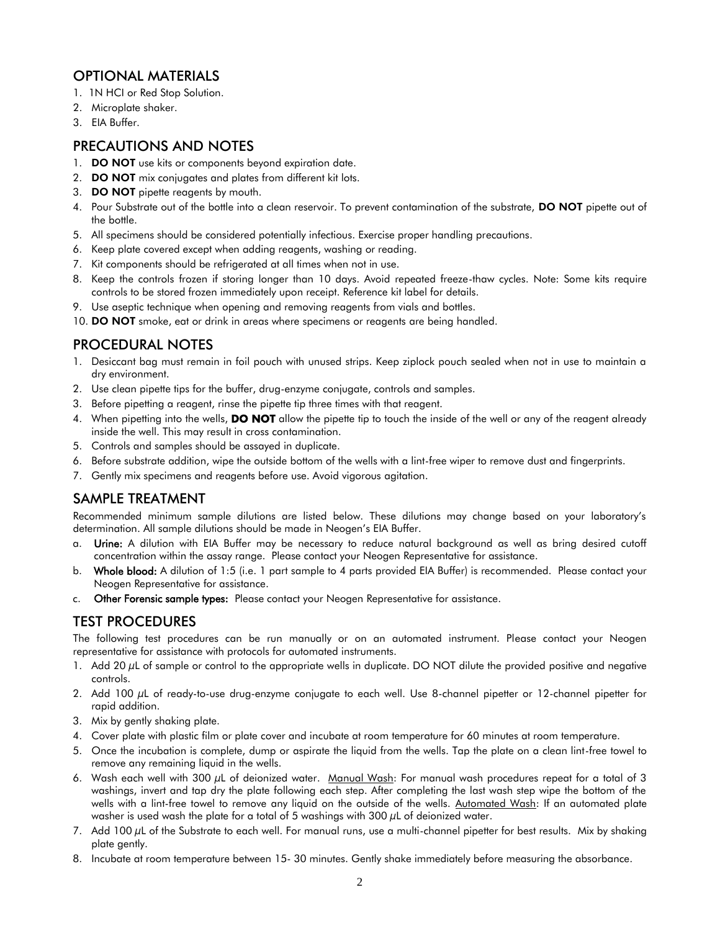# OPTIONAL MATERIALS

- 1. 1N HCI or Red Stop Solution.
- 2. Microplate shaker.
- 3. EIA Buffer.

## PRECAUTIONS AND NOTES

- 1. DO NOT use kits or components beyond expiration date.
- 2. **DO NOT** mix conjugates and plates from different kit lots.
- 3. **DO NOT** pipette reagents by mouth.
- 4. Pour Substrate out of the bottle into a clean reservoir. To prevent contamination of the substrate, DO NOT pipette out of the bottle.
- 5. All specimens should be considered potentially infectious. Exercise proper handling precautions.
- 6. Keep plate covered except when adding reagents, washing or reading.
- 7. Kit components should be refrigerated at all times when not in use.
- 8. Keep the controls frozen if storing longer than 10 days. Avoid repeated freeze-thaw cycles. Note: Some kits require controls to be stored frozen immediately upon receipt. Reference kit label for details.
- 9. Use aseptic technique when opening and removing reagents from vials and bottles.
- 10. DO NOT smoke, eat or drink in areas where specimens or reagents are being handled.

## PROCEDURAL NOTES

- 1. Desiccant bag must remain in foil pouch with unused strips. Keep ziplock pouch sealed when not in use to maintain a dry environment.
- 2. Use clean pipette tips for the buffer, drug-enzyme conjugate, controls and samples.
- 3. Before pipetting a reagent, rinse the pipette tip three times with that reagent.
- 4. When pipetting into the wells, **DO NOT** allow the pipette tip to touch the inside of the well or any of the reagent already inside the well. This may result in cross contamination.
- 5. Controls and samples should be assayed in duplicate.
- 6. Before substrate addition, wipe the outside bottom of the wells with a lint-free wiper to remove dust and fingerprints.
- 7. Gently mix specimens and reagents before use. Avoid vigorous agitation.

# SAMPLE TREATMENT

Recommended minimum sample dilutions are listed below. These dilutions may change based on your laboratory's determination. All sample dilutions should be made in Neogen's EIA Buffer.

- a. Urine: A dilution with EIA Buffer may be necessary to reduce natural background as well as bring desired cutoff concentration within the assay range. Please contact your Neogen Representative for assistance.
- b. Whole blood: A dilution of 1:5 (i.e. 1 part sample to 4 parts provided EIA Buffer) is recommended. Please contact your Neogen Representative for assistance.
- c. Other Forensic sample types: Please contact your Neogen Representative for assistance.

## TEST PROCEDURES

The following test procedures can be run manually or on an automated instrument. Please contact your Neogen representative for assistance with protocols for automated instruments.

- 1. Add 20 µL of sample or control to the appropriate wells in duplicate. DO NOT dilute the provided positive and negative controls.
- 2. Add 100 µL of ready-to-use drug-enzyme conjugate to each well. Use 8-channel pipetter or 12-channel pipetter for rapid addition.
- 3. Mix by gently shaking plate.
- 4. Cover plate with plastic film or plate cover and incubate at room temperature for 60 minutes at room temperature.
- 5. Once the incubation is complete, dump or aspirate the liquid from the wells. Tap the plate on a clean lint-free towel to remove any remaining liquid in the wells.
- 6. Wash each well with 300 µL of deionized water. Manual Wash: For manual wash procedures repeat for a total of 3 washings, invert and tap dry the plate following each step. After completing the last wash step wipe the bottom of the wells with a lint-free towel to remove any liquid on the outside of the wells. Automated Wash: If an automated plate washer is used wash the plate for a total of 5 washings with  $300 \mu$ L of deionized water.
- 7. Add 100  $\mu$ L of the Substrate to each well. For manual runs, use a multi-channel pipetter for best results. Mix by shaking plate gently.
- 8. Incubate at room temperature between 15- 30 minutes. Gently shake immediately before measuring the absorbance.